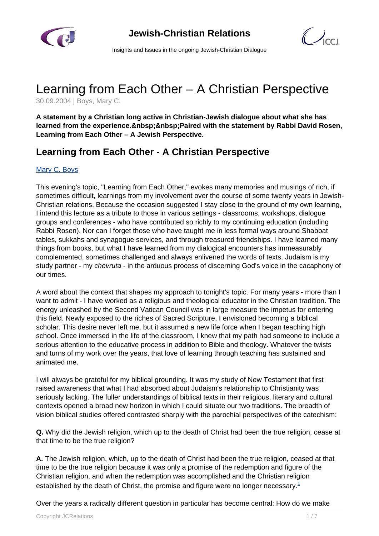

 $\bigcup_{C}$ 

Insights and Issues in the ongoing Jewish-Christian Dialogue

# Learning from Each Other – A Christian Perspective

30.09.2004 | Boys, Mary C.

**A statement by a Christian long active in Christian-Jewish dialogue about what she has** learned from the experience. Paired with the statement by Rabbi David Rosen, **Learning from Each Other – A Jewish Perspective.**

# **Learning from Each Other - A Christian Perspective**

#### [Mary C. Boys](/article.html)

This evening's topic, "Learning from Each Other," evokes many memories and musings of rich, if sometimes difficult, learnings from my involvement over the course of some twenty years in Jewish-Christian relations. Because the occasion suggested I stay close to the ground of my own learning, I intend this lecture as a tribute to those in various settings - classrooms, workshops, dialogue groups and conferences - who have contributed so richly to my continuing education (including Rabbi Rosen). Nor can I forget those who have taught me in less formal ways around Shabbat tables, sukkahs and synagogue services, and through treasured friendships. I have learned many things from books, but what I have learned from my dialogical encounters has immeasurably complemented, sometimes challenged and always enlivened the words of texts. Judaism is my study partner - my *chevruta* - in the arduous process of discerning God's voice in the cacaphony of our times.

A word about the context that shapes my approach to tonight's topic. For many years - more than I want to admit - I have worked as a religious and theological educator in the Christian tradition. The energy unleashed by the Second Vatican Council was in large measure the impetus for entering this field. Newly exposed to the riches of Sacred Scripture, I envisioned becoming a biblical scholar. This desire never left me, but it assumed a new life force when I began teaching high school. Once immersed in the life of the classroom, I knew that my path had someone to include a serious attention to the educative process in addition to Bible and theology. Whatever the twists and turns of my work over the years, that love of learning through teaching has sustained and animated me.

I will always be grateful for my biblical grounding. It was my study of New Testament that first raised awareness that what I had absorbed about Judaism's relationship to Christianity was seriously lacking. The fuller understandings of biblical texts in their religious, literary and cultural contexts opened a broad new horizon in which I could situate our two traditions. The breadth of vision biblical studies offered contrasted sharply with the parochial perspectives of the catechism:

**Q.** Why did the Jewish religion, which up to the death of Christ had been the true religion, cease at that time to be the true religion?

**A.** The Jewish religion, which, up to the death of Christ had been the true religion, ceased at that time to be the true religion because it was only a promise of the redemption and figure of the Christian religion, and when the redemption was accomplished and the Christian religion established by the death of Christ, the promise and figure were no longer necessary. $1$ 

Over the years a radically different question in particular has become central: How do we make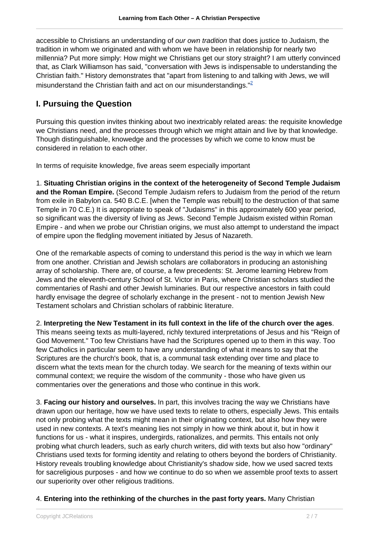accessible to Christians an understanding of *our own tradition* that does justice to Judaism, the tradition in whom we originated and with whom we have been in relationship for nearly two millennia? Put more simply: How might we Christians get our story straight? I am utterly convinced that, as Clark Williamson has said, "conversation with Jews is indispensable to understanding the Christian faith." History demonstrates that "apart from listening to and talking with Jews, we will misunderstand the Christian faith and act on our misunderstandings."<sup>2</sup>

### **I. Pursuing the Question**

Pursuing this question invites thinking about two inextricably related areas: the requisite knowledge we Christians need, and the processes through which we might attain and live by that knowledge. Though distinguishable, knowedge and the processes by which we come to know must be considered in relation to each other.

In terms of requisite knowledge, five areas seem especially important

1. **Situating Christian origins in the context of the heterogeneity of Second Temple Judaism and the Roman Empire.** (Second Temple Judaism refers to Judaism from the period of the return from exile in Babylon ca. 540 B.C.E. [when the Temple was rebuilt] to the destruction of that same Temple in 70 C.E.) It is appropriate to speak of "Judaisms" in this approximately 600 year period, so significant was the diversity of living as Jews. Second Temple Judaism existed within Roman Empire - and when we probe our Christian origins, we must also attempt to understand the impact of empire upon the fledgling movement initiated by Jesus of Nazareth.

One of the remarkable aspects of coming to understand this period is the way in which we learn from one another. Christian and Jewish scholars are collaborators in producing an astonishing array of scholarship. There are, of course, a few precedents: St. Jerome learning Hebrew from Jews and the eleventh-century School of St. Victor in Paris, where Christian scholars studied the commentaries of Rashi and other Jewish luminaries. But our respective ancestors in faith could hardly envisage the degree of scholarly exchange in the present - not to mention Jewish New Testament scholars and Christian scholars of rabbinic literature.

2. **Interpreting the New Testament in its full context in the life of the church over the ages**. This means seeing texts as multi-layered, richly textured interpretations of Jesus and his "Reign of God Movement." Too few Christians have had the Scriptures opened up to them in this way. Too few Catholics in particular seem to have any understanding of what it means to say that the Scriptures are the church's book, that is, a communal task extending over time and place to discern what the texts mean for the church today. We search for the meaning of texts within our communal context; we require the wisdom of the community - those who have given us commentaries over the generations and those who continue in this work.

3. **Facing our history and ourselves.** In part, this involves tracing the way we Christians have drawn upon our heritage, how we have used texts to relate to others, especially Jews. This entails not only probing what the texts might mean in their originating context, but also how they were used in new contexts. A text's meaning lies not simply in how we think about it, but in how it functions for us - what it inspires, undergirds, rationalizes, and permits. This entails not only probing what church leaders, such as early church writers, did with texts but also how "ordinary" Christians used texts for forming identity and relating to others beyond the borders of Christianity. History reveals troubling knowledge about Christianity's shadow side, how we used sacred texts for sacreligious purposes - and how we continue to do so when we assemble proof texts to assert our superiority over other religious traditions.

#### 4. **Entering into the rethinking of the churches in the past forty years.** Many Christian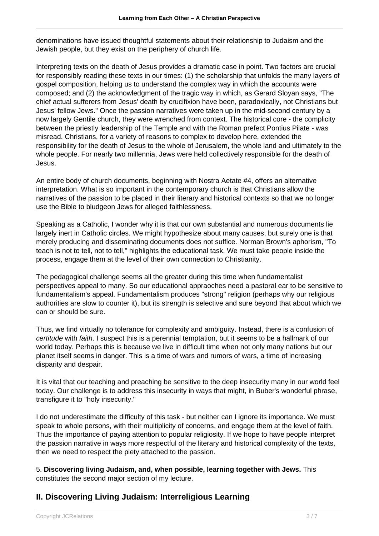denominations have issued thoughtful statements about their relationship to Judaism and the Jewish people, but they exist on the periphery of church life.

Interpreting texts on the death of Jesus provides a dramatic case in point. Two factors are crucial for responsibly reading these texts in our times: (1) the scholarship that unfolds the many layers of gospel composition, helping us to understand the complex way in which the accounts were composed; and (2) the acknowledgment of the tragic way in which, as Gerard Sloyan says, "The chief actual sufferers from Jesus' death by crucifixion have been, paradoxically, not Christians but Jesus' fellow Jews." Once the passion narratives were taken up in the mid-second century by a now largely Gentile church, they were wrenched from context. The historical core - the complicity between the priestly leadership of the Temple and with the Roman prefect Pontius Pilate - was misread. Christians, for a variety of reasons to complex to develop here, extended the responsibility for the death of Jesus to the whole of Jerusalem, the whole land and ultimately to the whole people. For nearly two millennia, Jews were held collectively responsible for the death of Jesus.

An entire body of church documents, beginning with Nostra Aetate #4, offers an alternative interpretation. What is so important in the contemporary church is that Christians allow the narratives of the passion to be placed in their literary and historical contexts so that we no longer use the Bible to bludgeon Jews for alleged faithlessness.

Speaking as a Catholic, I wonder why it is that our own substantial and numerous documents lie largely inert in Catholic circles. We might hypothesize about many causes, but surely one is that merely producing and disseminating documents does not suffice. Norman Brown's aphorism, "To teach is not to tell, not to tell," highlights the educational task. We must take people inside the process, engage them at the level of their own connection to Christianity.

The pedagogical challenge seems all the greater during this time when fundamentalist perspectives appeal to many. So our educational appraoches need a pastoral ear to be sensitive to fundamentalism's appeal. Fundamentalism produces "strong" religion (perhaps why our religious authorities are slow to counter it), but its strength is selective and sure beyond that about which we can or should be sure.

Thus, we find virtually no tolerance for complexity and ambiguity. Instead, there is a confusion of certitude with faith. I suspect this is a perennial temptation, but it seems to be a hallmark of our world today. Perhaps this is because we live in difficult time when not only many nations but our planet itself seems in danger. This is a time of wars and rumors of wars, a time of increasing disparity and despair.

It is vital that our teaching and preaching be sensitive to the deep insecurity many in our world feel today. Our challenge is to address this insecurity in ways that might, in Buber's wonderful phrase, transfigure it to "holy insecurity."

I do not underestimate the difficulty of this task - but neither can I ignore its importance. We must speak to whole persons, with their multiplicity of concerns, and engage them at the level of faith. Thus the importance of paying attention to popular religiosity. If we hope to have people interpret the passion narrative in ways more respectful of the literary and historical complexity of the texts, then we need to respect the piety attached to the passion.

5. **Discovering living Judaism, and, when possible, learning together with Jews.** This constitutes the second major section of my lecture.

## **II. Discovering Living Judaism: Interreligious Learning**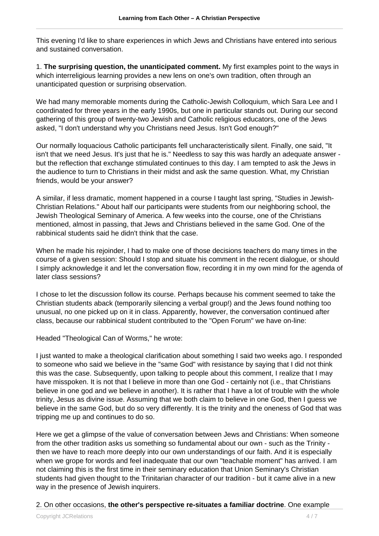This evening I'd like to share experiences in which Jews and Christians have entered into serious and sustained conversation.

1. **The surprising question, the unanticipated comment.** My first examples point to the ways in which interreligious learning provides a new lens on one's own tradition, often through an unanticipated question or surprising observation.

We had many memorable moments during the Catholic-Jewish Colloquium, which Sara Lee and I coordinated for three years in the early 1990s, but one in particular stands out. During our second gathering of this group of twenty-two Jewish and Catholic religious educators, one of the Jews asked, "I don't understand why you Christians need Jesus. Isn't God enough?"

Our normally loquacious Catholic participants fell uncharacteristically silent. Finally, one said, "It isn't that we need Jesus. It's just that he is." Needless to say this was hardly an adequate answer but the reflection that exchange stimulated continues to this day. I am tempted to ask the Jews in the audience to turn to Christians in their midst and ask the same question. What, my Christian friends, would be your answer?

A similar, if less dramatic, moment happened in a course I taught last spring, "Studies in Jewish-Christian Relations." About half our participants were students from our neighboring school, the Jewish Theological Seminary of America. A few weeks into the course, one of the Christians mentioned, almost in passing, that Jews and Christians believed in the same God. One of the rabbinical students said he didn't think that the case.

When he made his rejoinder, I had to make one of those decisions teachers do many times in the course of a given session: Should I stop and situate his comment in the recent dialogue, or should I simply acknowledge it and let the conversation flow, recording it in my own mind for the agenda of later class sessions?

I chose to let the discussion follow its course. Perhaps because his comment seemed to take the Christian students aback (temporarily silencing a verbal group!) and the Jews found nothing too unusual, no one picked up on it in class. Apparently, however, the conversation continued after class, because our rabbinical student contributed to the "Open Forum" we have on-line:

Headed "Theological Can of Worms," he wrote:

I just wanted to make a theological clarification about something I said two weeks ago. I responded to someone who said we believe in the "same God" with resistance by saying that I did not think this was the case. Subsequently, upon talking to people about this comment, I realize that I may have misspoken. It is not that I believe in more than one God - certainly not (i.e., that Christians believe in one god and we believe in another). It is rather that I have a lot of trouble with the whole trinity, Jesus as divine issue. Assuming that we both claim to believe in one God, then I guess we believe in the same God, but do so very differently. It is the trinity and the oneness of God that was tripping me up and continues to do so.

Here we get a glimpse of the value of conversation between Jews and Christians: When someone from the other tradition asks us something so fundamental about our own - such as the Trinity then we have to reach more deeply into our own understandings of our faith. And it is especially when we grope for words and feel inadequate that our own "teachable moment" has arrived. I am not claiming this is the first time in their seminary education that Union Seminary's Christian students had given thought to the Trinitarian character of our tradition - but it came alive in a new way in the presence of Jewish inquirers.

#### 2. On other occasions, **the other's perspective re-situates a familiar doctrine**. One example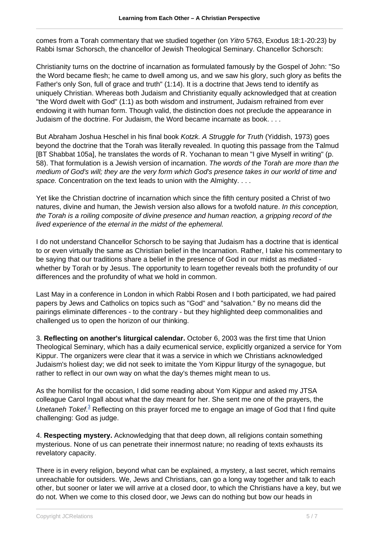comes from a Torah commentary that we studied together (on Yitro 5763, Exodus 18:1-20:23) by Rabbi Ismar Schorsch, the chancellor of Jewish Theological Seminary. Chancellor Schorsch:

Christianity turns on the doctrine of incarnation as formulated famously by the Gospel of John: "So the Word became flesh; he came to dwell among us, and we saw his glory, such glory as befits the Father's only Son, full of grace and truth" (1:14). It is a doctrine that Jews tend to identify as uniquely Christian. Whereas both Judaism and Christianity equally acknowledged that at creation "the Word dwelt with God" (1:1) as both wisdom and instrument, Judaism refrained from ever endowing it with human form. Though valid, the distinction does not preclude the appearance in Judaism of the doctrine. For Judaism, the Word became incarnate as book. . . .

But Abraham Joshua Heschel in his final book Kotzk. A Struggle for Truth (Yiddish, 1973) goes beyond the doctrine that the Torah was literally revealed. In quoting this passage from the Talmud [BT Shabbat 105a], he translates the words of R. Yochanan to mean "I give Myself in writing" (p. 58). That formulation is a Jewish version of incarnation. The words of the Torah are more than the medium of God's will; they are the very form which God's presence takes in our world of time and space. Concentration on the text leads to union with the Almighty. . . .

Yet like the Christian doctrine of incarnation which since the fifth century posited a Christ of two natures, divine and human, the Jewish version also allows for a twofold nature. In this conception, the Torah is a roiling composite of divine presence and human reaction, a gripping record of the lived experience of the eternal in the midst of the ephemeral.

I do not understand Chancellor Schorsch to be saying that Judaism has a doctrine that is identical to or even virtually the same as Christian belief in the Incarnation. Rather, I take his commentary to be saying that our traditions share a belief in the presence of God in our midst as mediated whether by Torah or by Jesus. The opportunity to learn together reveals both the profundity of our differences and the profundity of what we hold in common.

Last May in a conference in London in which Rabbi Rosen and I both participated, we had paired papers by Jews and Catholics on topics such as "God" and "salvation." By no means did the pairings eliminate differences - to the contrary - but they highlighted deep commonalities and challenged us to open the horizon of our thinking.

3. **Reflecting on another's liturgical calendar.** October 6, 2003 was the first time that Union Theological Seminary, which has a daily ecumenical service, explicitly organized a service for Yom Kippur. The organizers were clear that it was a service in which we Christians acknowledged Judaism's holiest day; we did not seek to imitate the Yom Kippur liturgy of the synagogue, but rather to reflect in our own way on what the day's themes might mean to us.

As the homilist for the occasion, I did some reading about Yom Kippur and asked my JTSA colleague Carol Ingall about what the day meant for her. She sent me one of the prayers, the Unetaneh Tokef.<sup>3</sup> Reflecting on this prayer forced me to engage an image of God that I find quite challenging: God as judge.

4. **Respecting mystery.** Acknowledging that that deep down, all religions contain something mysterious. None of us can penetrate their innermost nature; no reading of texts exhausts its revelatory capacity.

There is in every religion, beyond what can be explained, a mystery, a last secret, which remains unreachable for outsiders. We, Jews and Christians, can go a long way together and talk to each other, but sooner or later we will arrive at a closed door, to which the Christians have a key, but we do not. When we come to this closed door, we Jews can do nothing but bow our heads in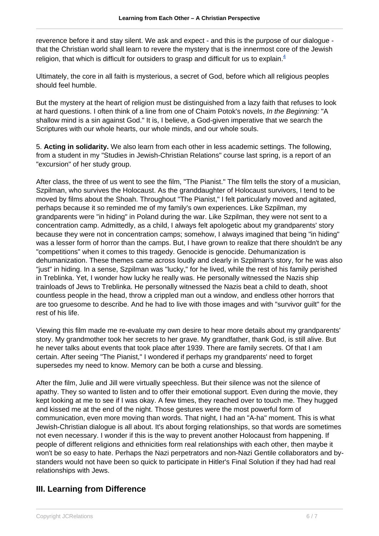reverence before it and stay silent. We ask and expect - and this is the purpose of our dialogue that the Christian world shall learn to revere the mystery that is the innermost core of the Jewish religion, that which is difficult for outsiders to grasp and difficult for us to explain. $4$ 

Ultimately, the core in all faith is mysterious, a secret of God, before which all religious peoples should feel humble.

But the mystery at the heart of religion must be distinguished from a lazy faith that refuses to look at hard questions. I often think of a line from one of Chaim Potok's novels, In the Beginning: "A shallow mind is a sin against God." It is, I believe, a God-given imperative that we search the Scriptures with our whole hearts, our whole minds, and our whole souls.

5. **Acting in solidarity.** We also learn from each other in less academic settings. The following, from a student in my "Studies in Jewish-Christian Relations" course last spring, is a report of an "excursion" of her study group.

After class, the three of us went to see the film, "The Pianist." The film tells the story of a musician, Szpilman, who survives the Holocaust. As the granddaughter of Holocaust survivors, I tend to be moved by films about the Shoah. Throughout "The Pianist," I felt particularly moved and agitated, perhaps because it so reminded me of my family's own experiences. Like Szpilman, my grandparents were "in hiding" in Poland during the war. Like Szpilman, they were not sent to a concentration camp. Admittedly, as a child, I always felt apologetic about my grandparents' story because they were not in concentration camps; somehow, I always imagined that being "in hiding" was a lesser form of horror than the camps. But, I have grown to realize that there shouldn't be any "competitions" when it comes to this tragedy. Genocide is genocide. Dehumanization is dehumanization. These themes came across loudly and clearly in Szpilman's story, for he was also "just" in hiding. In a sense, Szpilman was "lucky," for he lived, while the rest of his family perished in Treblinka. Yet, I wonder how lucky he really was. He personally witnessed the Nazis ship trainloads of Jews to Treblinka. He personally witnessed the Nazis beat a child to death, shoot countless people in the head, throw a crippled man out a window, and endless other horrors that are too gruesome to describe. And he had to live with those images and with "survivor guilt" for the rest of his life.

Viewing this film made me re-evaluate my own desire to hear more details about my grandparents' story. My grandmother took her secrets to her grave. My grandfather, thank God, is still alive. But he never talks about events that took place after 1939. There are family secrets. Of that I am certain. After seeing "The Pianist," I wondered if perhaps my grandparents' need to forget supersedes my need to know. Memory can be both a curse and blessing.

After the film, Julie and Jill were virtually speechless. But their silence was not the silence of apathy. They so wanted to listen and to offer their emotional support. Even during the movie, they kept looking at me to see if I was okay. A few times, they reached over to touch me. They hugged and kissed me at the end of the night. Those gestures were the most powerful form of communication, even more moving than words. That night, I had an "A-ha" moment. This is what Jewish-Christian dialogue is all about. It's about forging relationships, so that words are sometimes not even necessary. I wonder if this is the way to prevent another Holocaust from happening. If people of different religions and ethnicities form real relationships with each other, then maybe it won't be so easy to hate. Perhaps the Nazi perpetrators and non-Nazi Gentile collaborators and bystanders would not have been so quick to participate in Hitler's Final Solution if they had had real relationships with Jews.

## **III. Learning from Difference**